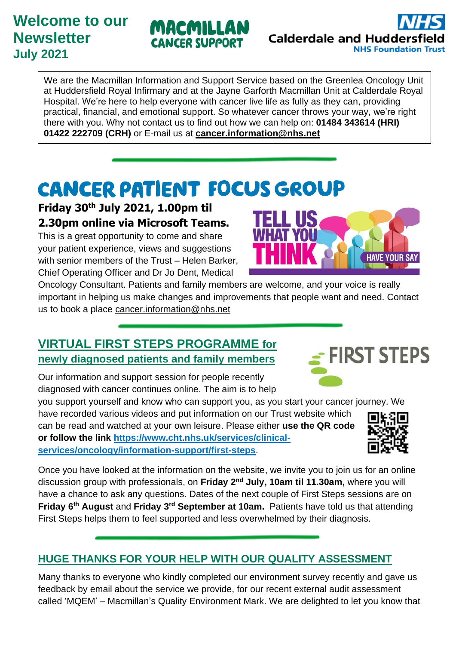# **Welcome to our Newsletter July 2021**

We are the Macmillan Information and Support Service based on the Greenlea Oncology Unit at Huddersfield Royal Infirmary and at the Jayne Garforth Macmillan Unit at Calderdale Royal Hospital. We're here to help everyone with cancer live life as fully as they can, providing practical, financial, and emotional support. So whatever cancer throws your way, we're right there with you. Why not contact us to find out how we can help on: **01484 343614 (HRI) 01422 222709 (CRH)** or E-mail us at **[cancer.information@nhs.net](mailto:cancer.information@nhs.net)**

# **CANCER PATIENT FOCUS GROUP**

**Friday 30th July 2021, 1.00pm til 2.30pm online via Microsoft Teams.**

This is a great opportunity to come and share your patient experience, views and suggestions with senior members of the Trust – Helen Barker, Chief Operating Officer and Dr Jo Dent, Medical

Oncology Consultant. Patients and family members are welcome, and your voice is really important in helping us make changes and improvements that people want and need. Contact us to book a place [cancer.information@nhs.net](mailto:cancer.information@nhs.net)

# **VIRTUAL FIRST STEPS PROGRAMME for newly diagnosed patients and family members**

Our information and support session for people recently diagnosed with cancer continues online. The aim is to help

you support yourself and know who can support you, as you start your cancer journey. We have recorded various videos and put information on our Trust website which

can be read and watched at your own leisure. Please either **use the QR code or follow the link [https://www.cht.nhs.uk/services/clinical](https://www.cht.nhs.uk/services/clinical-services/oncology/information-support/first-steps)[services/oncology/information-support/first-steps](https://www.cht.nhs.uk/services/clinical-services/oncology/information-support/first-steps)**.

Once you have looked at the information on the website, we invite you to join us for an online discussion group with professionals, on Friday 2<sup>nd</sup> July, 10am til 11.30am, where you will have a chance to ask any questions. Dates of the next couple of First Steps sessions are on **Friday 6<sup>th</sup> August** and Friday 3<sup>rd</sup> September at 10am. Patients have told us that attending First Steps helps them to feel supported and less overwhelmed by their diagnosis.

## **HUGE THANKS FOR YOUR HELP WITH OUR QUALITY ASSESSMENT**

Many thanks to everyone who kindly completed our environment survey recently and gave us feedback by email about the service we provide, for our recent external audit assessment called 'MQEM' – Macmillan's Quality Environment Mark. We are delighted to let you know that







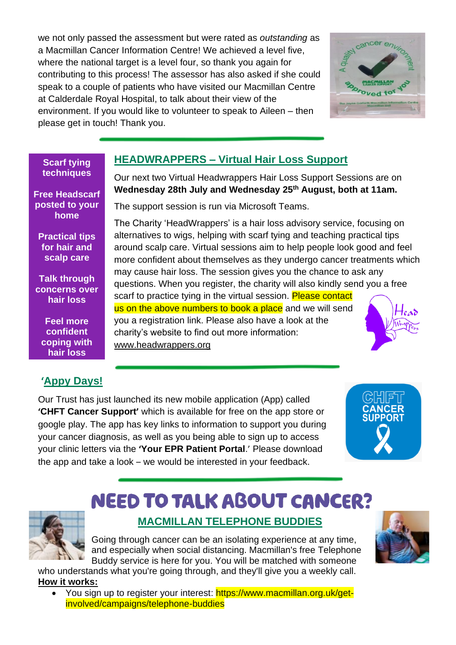we not only passed the assessment but were rated as *outstanding* as a Macmillan Cancer Information Centre! We achieved a level five, where the national target is a level four, so thank you again for contributing to this process! The assessor has also asked if she could speak to a couple of patients who have visited our Macmillan Centre at Calderdale Royal Hospital, to talk about their view of the environment. If you would like to volunteer to speak to Aileen – then please get in touch! Thank you.



### **HEADWRAPPERS – Virtual Hair Loss Support**

Our next two Virtual Headwrappers Hair Loss Support Sessions are on **Wednesday 28th July and Wednesday 25 th August, both at 11am.** 

The support session is run via Microsoft Teams.

The Charity 'HeadWrappers' is a hair loss advisory service, focusing on alternatives to wigs, helping with scarf tying and teaching practical tips around scalp care. Virtual sessions aim to help people look good and feel more confident about themselves as they undergo cancer treatments which may cause hair loss. The session gives you the chance to ask any questions. When you register, the charity will also kindly send you a free scarf to practice tying in the virtual session. Please contact us on the above numbers to book a place and we will send you a registration link. Please also have a look at the charity's website to find out more information:

### **'Appy Days!**

**Scarf tying techniques**

**Free Headscarf posted to your home**

**Practical tips for hair and scalp care**

**Talk through concerns over hair loss**

**Feel more confident coping with hair loss**

Our Trust has just launched its new mobile application (App) called **'CHFT Cancer Support'** which is available for free on the app store or google play. The app has key links to information to support you during your cancer diagnosis, as well as you being able to sign up to access your clinic letters via the **'Your EPR Patient Portal**.' Please download the app and take a look – we would be interested in your feedback.

[www.headwrappers.org](http://www.headwrappers.org/)



# **NEED TO TALK ABOUT CANCER?**

**MACMILLAN TELEPHONE BUDDIES**

Going through cancer can be an isolating experience at any time, and especially when social distancing. Macmillan's free Telephone Buddy service is here for you. You will be matched with someone

who understands what you're going through, and they'll give you a weekly call. **How it works:**

• You sign up to register your interest: https://www.macmillan.org.uk/getinvolved/campaigns/telephone-buddies

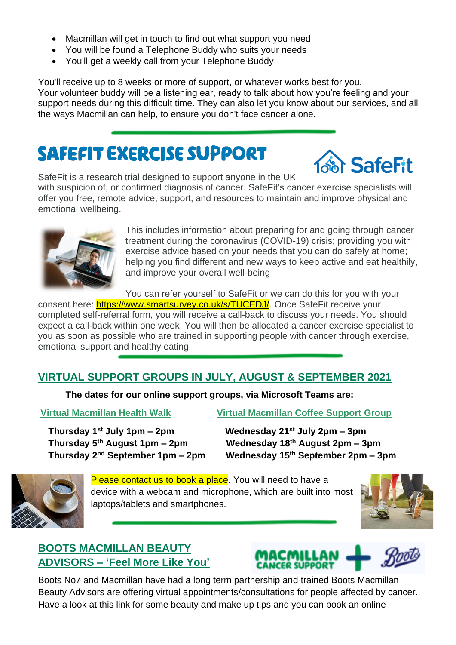- Macmillan will get in touch to find out what support you need
- You will be found a Telephone Buddy who suits your needs
- You'll get a weekly call from your Telephone Buddy

You'll receive up to 8 weeks or more of support, or whatever works best for you. Your volunteer buddy will be a listening ear, ready to talk about how you're feeling and your support needs during this difficult time. They can also let you know about our services, and all the ways Macmillan can help, to ensure you don't face cancer alone.

# **SAFEFIT EXERCISE SUPPORT**



SafeFit is a research trial designed to support anyone in the UK with suspicion of, or confirmed diagnosis of cancer. SafeFit's cancer exercise specialists will offer you free, remote advice, support, and resources to maintain and improve physical and emotional wellbeing.



This includes information about preparing for and going through cancer treatment during the coronavirus (COVID-19) crisis; providing you with exercise advice based on your needs that you can do safely at home; helping you find different and new ways to keep active and eat healthily, and improve your overall well-being

You can refer yourself to SafeFit or we can do this for you with your consent here: [https://www.smartsurvey.co.uk/s/TUCEDJ/.](https://www.smartsurvey.co.uk/s/TUCEDJ/) Once SafeFit receive your completed self-referral form, you will receive a call-back to discuss your needs. You should expect a call-back within one week. You will then be allocated a cancer exercise specialist to you as soon as possible who are trained in supporting people with cancer through exercise, emotional support and healthy eating.

### **VIRTUAL SUPPORT GROUPS IN JULY, AUGUST & SEPTEMBER 2021**

**The dates for our online support groups, via Microsoft Teams are:** 

 **Thursday 1 Thursday 5 Thursday 2**

**Virtual Macmillan Health Walk Virtual Macmillan Coffee Support Group** 

**st July 1pm – 2pm Wednesday 21st July 2pm – 3pm th August 1pm – 2pm Wednesday 18th August 2pm – 3pm nd September 1pm – 2pm Wednesday 15th September 2pm – 3pm**



Please contact us to book a place. You will need to have a device with a webcam and microphone, which are built into most laptops/tablets and smartphones.



### **BOOTS MACMILLAN BEAUTY ADVISORS – 'Feel More Like You'**



Boots No7 and Macmillan have had a long term partnership and trained Boots Macmillan Beauty Advisors are offering virtual appointments/consultations for people affected by cancer. Have a look at this link for some beauty and make up tips and you can book an online